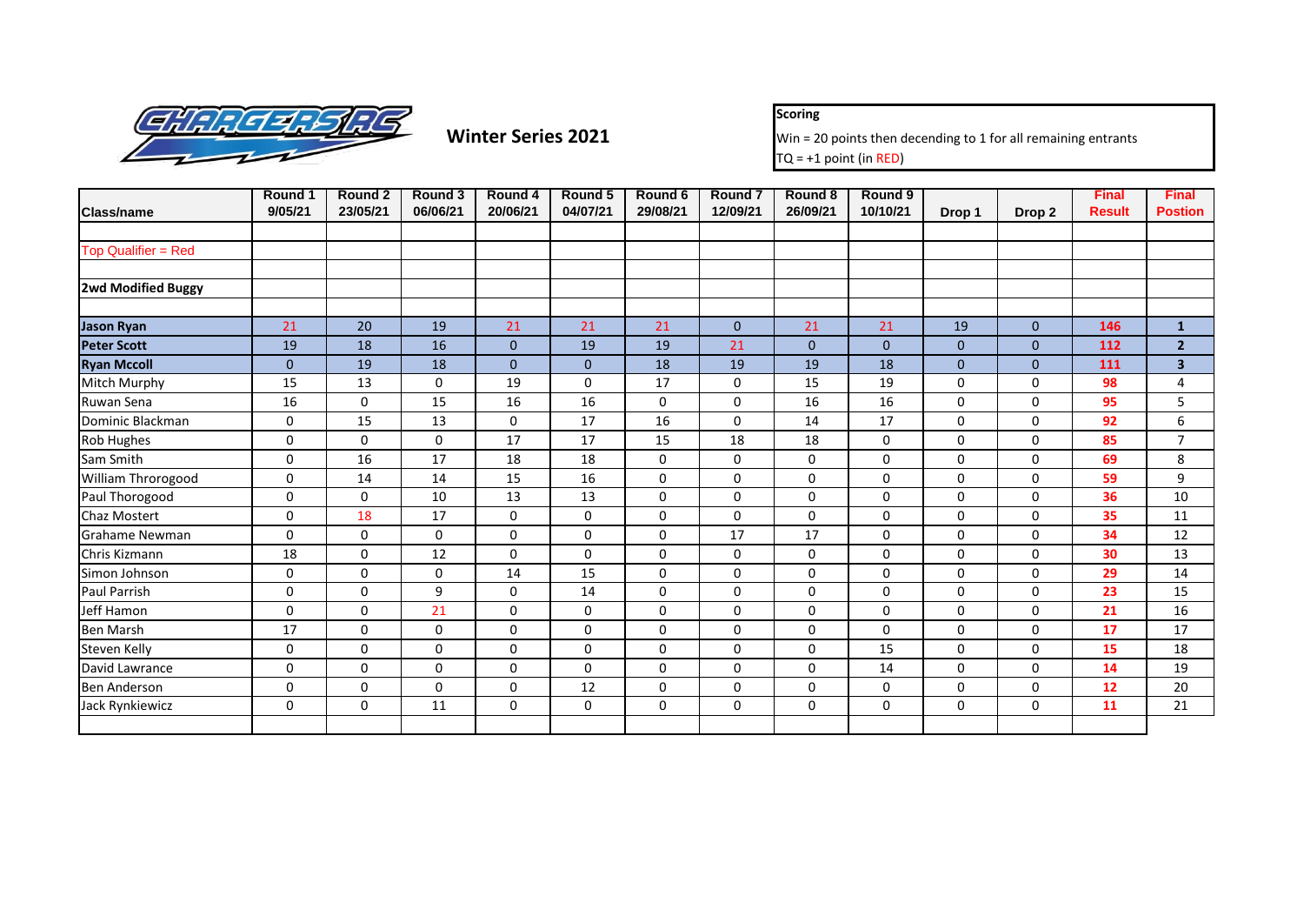

**Scoring**

**Winter Series 2021** Win = 20 points then decending to 1 for all remaining entrants  $TQ = +1$  point (in RED)

|                            | Round 1        | Round 2      | Round 3     | Round 4      | Round 5      | Round 6     | Round 7      | Round 8      | Round 9      |                |              | <b>Final</b>  | <b>Final</b>            |
|----------------------------|----------------|--------------|-------------|--------------|--------------|-------------|--------------|--------------|--------------|----------------|--------------|---------------|-------------------------|
| <b>Class/name</b>          | 9/05/21        | 23/05/21     | 06/06/21    | 20/06/21     | 04/07/21     | 29/08/21    | 12/09/21     | 26/09/21     | 10/10/21     | Drop 1         | Drop 2       | <b>Result</b> | <b>Postion</b>          |
| <b>Top Qualifier = Red</b> |                |              |             |              |              |             |              |              |              |                |              |               |                         |
|                            |                |              |             |              |              |             |              |              |              |                |              |               |                         |
| <b>2wd Modified Buggy</b>  |                |              |             |              |              |             |              |              |              |                |              |               |                         |
| <b>Jason Ryan</b>          | 21             | 20           | 19          | 21           | 21           | 21          | $\mathbf{0}$ | 21           | 21           | 19             | $\mathbf{0}$ | 146           | $\mathbf{1}$            |
| <b>Peter Scott</b>         | 19             | 18           | 16          | $\mathbf{0}$ | 19           | 19          | 21           | $\mathbf{0}$ | $\mathbf{0}$ | $\overline{0}$ | $\Omega$     | 112           | $\overline{2}$          |
| <b>Ryan Mccoll</b>         | $\overline{0}$ | 19           | 18          | $\mathbf{0}$ | $\mathbf{0}$ | 18          | 19           | 19           | 18           | $\mathbf{0}$   | $\Omega$     | 111           | $\overline{\mathbf{3}}$ |
| Mitch Murphy               | 15             | 13           | $\Omega$    | 19           | $\Omega$     | 17          | $\mathbf 0$  | 15           | 19           | 0              | $\Omega$     | 98            | 4                       |
| Ruwan Sena                 | 16             | $\mathbf{0}$ | 15          | 16           | 16           | 0           | $\mathbf 0$  | 16           | 16           | 0              | $\Omega$     | 95            | 5                       |
| Dominic Blackman           | 0              | 15           | 13          | $\mathbf 0$  | 17           | 16          | $\mathbf 0$  | 14           | 17           | 0              | $\mathbf 0$  | 92            | 6                       |
| Rob Hughes                 | 0              | $\mathbf 0$  | $\mathbf 0$ | 17           | 17           | 15          | 18           | 18           | 0            | 0              | $\mathbf 0$  | 85            | $\overline{7}$          |
| Sam Smith                  | 0              | 16           | 17          | 18           | 18           | 0           | $\mathbf 0$  | 0            | 0            | 0              | 0            | 69            | 8                       |
| William Throrogood         | 0              | 14           | 14          | 15           | 16           | $\mathbf 0$ | $\Omega$     | $\mathbf 0$  | $\Omega$     | 0              | $\Omega$     | 59            | 9                       |
| Paul Thorogood             | 0              | $\mathbf{0}$ | 10          | 13           | 13           | 0           | $\mathbf 0$  | 0            | 0            | 0              | $\Omega$     | 36            | 10                      |
| <b>Chaz Mostert</b>        | 0              | 18           | 17          | $\mathbf 0$  | $\mathbf 0$  | $\mathbf 0$ | $\Omega$     | $\mathbf 0$  | $\mathbf 0$  | 0              | $\Omega$     | 35            | 11                      |
| Grahame Newman             | $\mathbf 0$    | $\Omega$     | 0           | $\mathbf 0$  | 0            | 0           | 17           | 17           | 0            | 0              | $\mathbf 0$  | 34            | 12                      |
| Chris Kizmann              | 18             | $\mathbf 0$  | 12          | $\mathbf 0$  | $\mathbf 0$  | 0           | $\mathbf 0$  | 0            | 0            | 0              | 0            | 30            | 13                      |
| Simon Johnson              | 0              | $\Omega$     | 0           | 14           | 15           | $\mathbf 0$ | $\mathbf 0$  | $\mathbf 0$  | 0            | 0              | $\mathbf 0$  | 29            | 14                      |
| <b>Paul Parrish</b>        | 0              | $\Omega$     | 9           | $\mathbf 0$  | 14           | $\mathbf 0$ | $\mathbf 0$  | 0            | $\mathbf 0$  | 0              | $\Omega$     | 23            | 15                      |
| Jeff Hamon                 | 0              | $\Omega$     | 21          | $\mathbf 0$  | 0            | $\mathbf 0$ | 0            | $\mathbf 0$  | $\mathbf 0$  | 0              | 0            | 21            | 16                      |
| <b>Ben Marsh</b>           | 17             | $\Omega$     | $\Omega$    | $\mathbf 0$  | 0            | $\mathbf 0$ | $\mathbf 0$  | $\mathbf 0$  | $\mathbf 0$  | 0              | $\Omega$     | 17            | 17                      |
| Steven Kelly               | 0              | $\Omega$     | 0           | $\Omega$     | $\Omega$     | $\Omega$    | $\mathbf 0$  | $\mathbf 0$  | 15           | 0              | $\Omega$     | 15            | 18                      |
| David Lawrance             | 0              | $\Omega$     | 0           | $\mathbf 0$  | 0            | $\mathbf 0$ | $\mathbf 0$  | $\mathbf 0$  | 14           | 0              | $\mathbf 0$  | 14            | 19                      |
| <b>Ben Anderson</b>        | 0              | $\mathbf 0$  | 0           | 0            | 12           | 0           | $\mathbf 0$  | 0            | 0            | 0              | $\mathbf 0$  | 12            | 20                      |
| Jack Rynkiewicz            | 0              | $\mathbf 0$  | 11          | $\mathbf 0$  | 0            | $\mathbf 0$ | $\mathbf 0$  | $\mathbf 0$  | $\mathbf 0$  | 0              | $\mathbf 0$  | 11            | 21                      |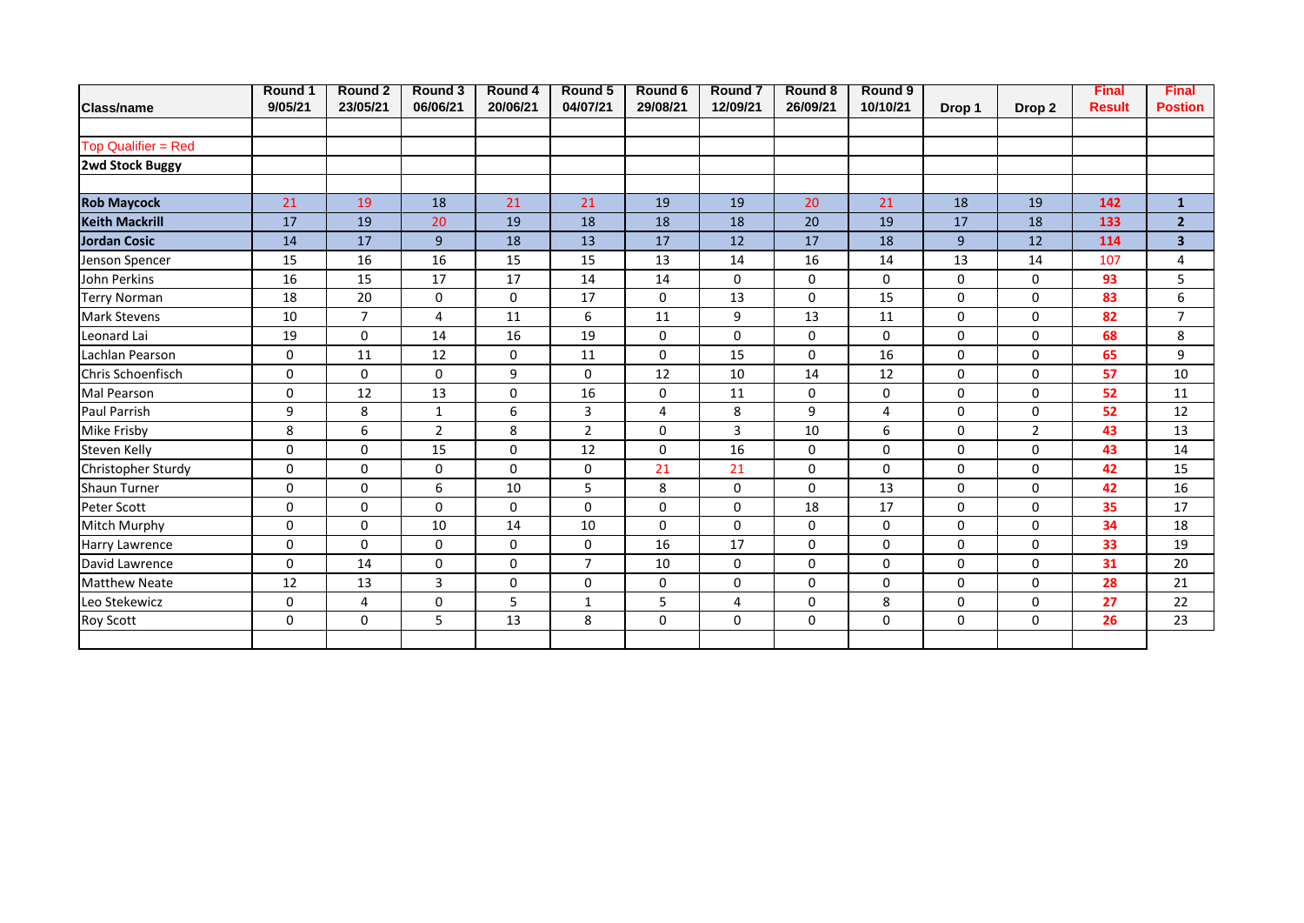|                       | Round 1     | Round 2        | Round 3        | Round 4     | Round 5        | Round 6             | <b>Round 7</b> | Round 8     | Round 9        |                |                   | <b>Final</b>  | <b>Final</b>   |
|-----------------------|-------------|----------------|----------------|-------------|----------------|---------------------|----------------|-------------|----------------|----------------|-------------------|---------------|----------------|
| <b>Class/name</b>     | 9/05/21     | 23/05/21       | 06/06/21       | 20/06/21    | 04/07/21       | 29/08/21            | 12/09/21       | 26/09/21    | 10/10/21       | Drop 1         | Drop <sub>2</sub> | <b>Result</b> | <b>Postion</b> |
|                       |             |                |                |             |                |                     |                |             |                |                |                   |               |                |
| Top Qualifier = Red   |             |                |                |             |                |                     |                |             |                |                |                   |               |                |
| 2wd Stock Buggy       |             |                |                |             |                |                     |                |             |                |                |                   |               |                |
|                       |             |                |                |             |                |                     |                |             |                |                |                   |               |                |
| <b>Rob Maycock</b>    | 21          | 19             | 18             | 21          | 21             | 19                  | 19             | 20          | 21             | 18             | 19                | 142           | $\mathbf{1}$   |
| <b>Keith Mackrill</b> | 17          | 19             | 20             | 19          | 18             | 18                  | 18             | 20          | 19             | 17             | 18                | 133           | 2 <sup>1</sup> |
| <b>Jordan Cosic</b>   | 14          | 17             | $\mathbf{9}$   | 18          | 13             | 17                  | 12             | 17          | 18             | $\overline{9}$ | 12                | 114           | 3 <sup>1</sup> |
| Jenson Spencer        | 15          | 16             | 16             | 15          | 15             | 13                  | 14             | 16          | 14             | 13             | 14                | 107           | 4              |
| John Perkins          | 16          | 15             | 17             | 17          | 14             | 14                  | $\Omega$       | 0           | 0              | 0              | $\mathbf 0$       | 93            | 5              |
| <b>Terry Norman</b>   | 18          | 20             | $\mathbf 0$    | $\mathbf 0$ | 17             | $\mathbf 0$         | 13             | $\mathbf 0$ | 15             | 0              | 0                 | 83            | 6              |
| <b>Mark Stevens</b>   | 10          | $\overline{7}$ | 4              | 11          | 6              | 11                  | 9              | 13          | 11             | 0              | 0                 | 82            | $\overline{7}$ |
| Leonard Lai           | 19          | 0              | 14             | 16          | 19             | 0                   | 0              | 0           | 0              | 0              | 0                 | 68            | 8              |
| Lachlan Pearson       | 0           | 11             | 12             | $\pmb{0}$   | 11             | 0                   | 15             | 0           | 16             | 0              | 0                 | 65            | 9              |
| Chris Schoenfisch     | $\mathbf 0$ | $\mathbf 0$    | $\Omega$       | 9           | $\mathbf 0$    | 12                  | 10             | 14          | 12             | $\mathbf 0$    | 0                 | 57            | 10             |
| Mal Pearson           | 0           | 12             | 13             | $\mathbf 0$ | 16             | 0                   | 11             | 0           | 0              | 0              | 0                 | 52            | $11\,$         |
| Paul Parrish          | 9           | 8              | $\mathbf{1}$   | 6           | 3              | $\overline{4}$      | 8              | 9           | $\overline{4}$ | $\mathbf 0$    | 0                 | 52            | 12             |
| Mike Frisby           | 8           | 6              | $\overline{2}$ | 8           | $\overline{2}$ | 0                   | 3              | 10          | 6              | 0              | $\overline{2}$    | 43            | 13             |
| Steven Kelly          | $\mathbf 0$ | 0              | 15             | $\mathbf 0$ | 12             | $\mathbf 0$         | 16             | $\mathbf 0$ | 0              | 0              | 0                 | 43            | 14             |
| Christopher Sturdy    | 0           | 0              | $\mathbf 0$    | $\Omega$    | 0              | 21                  | 21             | $\mathbf 0$ | 0              | 0              | $\mathbf 0$       | 42            | 15             |
| Shaun Turner          | 0           | $\Omega$       | 6              | 10          | 5              | 8                   | 0              | $\mathbf 0$ | 13             | 0              | $\Omega$          | 42            | 16             |
| Peter Scott           | $\mathbf 0$ | $\mathbf 0$    | $\mathbf 0$    | $\mathbf 0$ | $\Omega$       | $\mathsf{O}\xspace$ | $\mathbf 0$    | 18          | 17             | 0              | $\mathbf 0$       | 35            | 17             |
| Mitch Murphy          | $\mathbf 0$ | $\mathbf 0$    | 10             | 14          | 10             | $\mathbf 0$         | 0              | 0           | 0              | $\mathbf 0$    | $\mathbf 0$       | 34            | 18             |
| Harry Lawrence        | 0           | 0              | 0              | 0           | 0              | 16                  | 17             | $\pmb{0}$   | 0              | 0              | $\mathbf 0$       | 33            | 19             |
| David Lawrence        | 0           | 14             | $\mathbf 0$    | $\mathbf 0$ | $\overline{7}$ | 10                  | 0              | 0           | 0              | 0              | 0                 | 31            | 20             |
| <b>Matthew Neate</b>  | 12          | 13             | 3              | 0           | 0              | 0                   | 0              | 0           | 0              | 0              | 0                 | 28            | 21             |
| Leo Stekewicz         | 0           | $\overline{4}$ | 0              | 5           | $\mathbf{1}$   | 5                   | 4              | 0           | 8              | 0              | 0                 | 27            | 22             |
| Roy Scott             | 0           | $\mathbf 0$    | 5              | 13          | 8              | 0                   | 0              | 0           | 0              | 0              | 0                 | 26            | 23             |
|                       |             |                |                |             |                |                     |                |             |                |                |                   |               |                |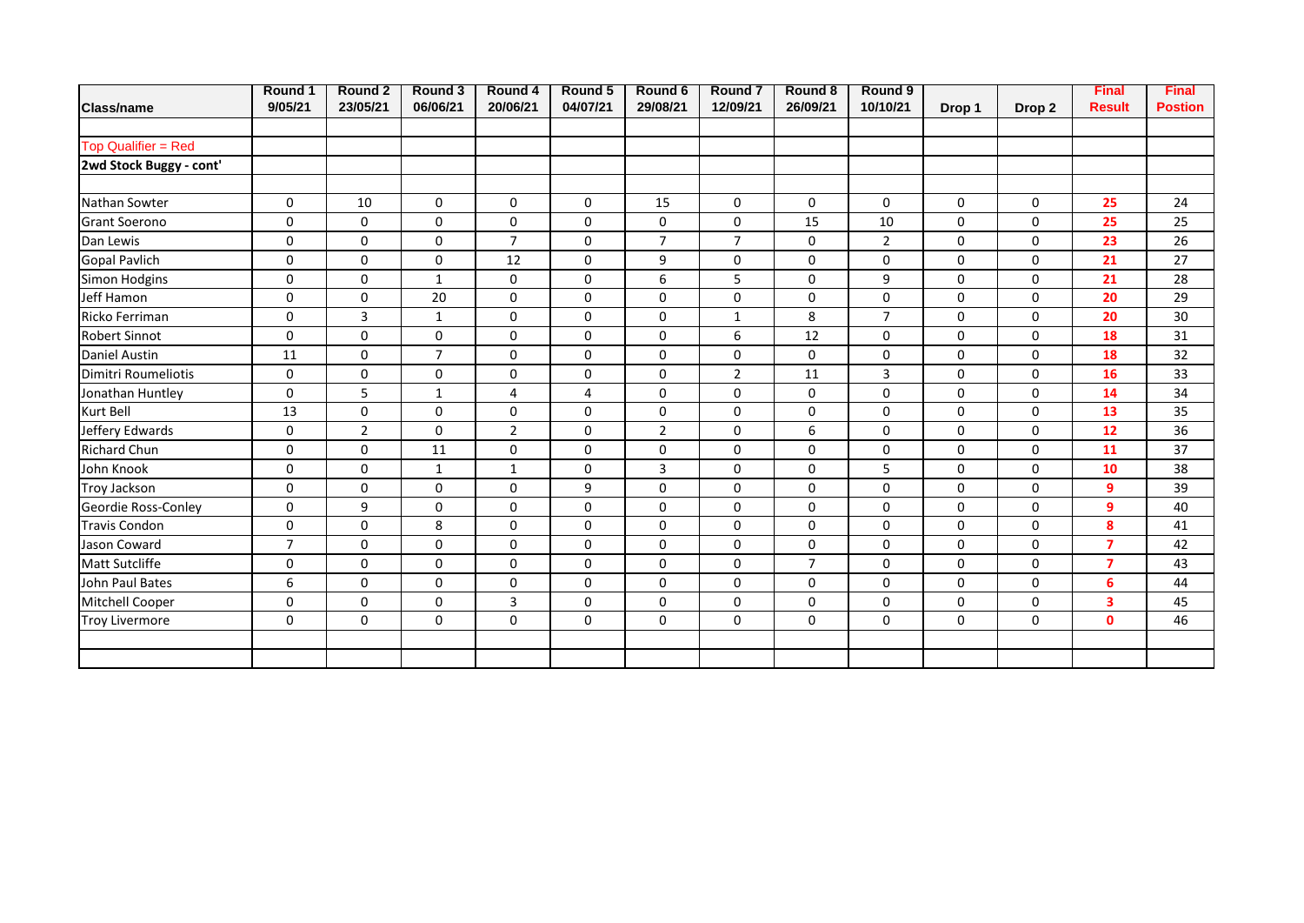|                            | Round 1        | Round 2        | Round 3        | Round 4        | Round 5     | Round 6        | <b>Round 7</b> | Round 8        | Round 9        |             |                   | <b>Final</b>   | <b>Final</b>   |
|----------------------------|----------------|----------------|----------------|----------------|-------------|----------------|----------------|----------------|----------------|-------------|-------------------|----------------|----------------|
| <b>Class/name</b>          | 9/05/21        | 23/05/21       | 06/06/21       | 20/06/21       | 04/07/21    | 29/08/21       | 12/09/21       | 26/09/21       | 10/10/21       | Drop 1      | Drop <sub>2</sub> | <b>Result</b>  | <b>Postion</b> |
|                            |                |                |                |                |             |                |                |                |                |             |                   |                |                |
| <b>Top Qualifier = Red</b> |                |                |                |                |             |                |                |                |                |             |                   |                |                |
| 2wd Stock Buggy - cont'    |                |                |                |                |             |                |                |                |                |             |                   |                |                |
|                            |                |                |                |                |             |                |                |                |                |             |                   |                |                |
| Nathan Sowter              | $\mathbf 0$    | 10             | $\mathbf 0$    | 0              | $\mathbf 0$ | 15             | 0              | 0              | 0              | 0           | 0                 | 25             | 24             |
| <b>Grant Soerono</b>       | $\mathbf 0$    | $\Omega$       | $\Omega$       | $\mathbf 0$    | $\Omega$    | $\mathsf 0$    | 0              | 15             | 10             | 0           | $\Omega$          | 25             | 25             |
| Dan Lewis                  | 0              | $\mathbf 0$    | $\mathbf 0$    | $\overline{7}$ | $\mathbf 0$ | $\overline{7}$ | $\overline{7}$ | 0              | $\overline{2}$ | $\mathbf 0$ | 0                 | 23             | 26             |
| <b>Gopal Pavlich</b>       | 0              | $\Omega$       | $\mathbf 0$    | 12             | 0           | 9              | 0              | $\pmb{0}$      | 0              | 0           | $\Omega$          | 21             | 27             |
| Simon Hodgins              | 0              | 0              | $\mathbf{1}$   | 0              | 0           | 6              | 5              | 0              | 9              | 0           | 0                 | 21             | 28             |
| Jeff Hamon                 | 0              | $\mathbf 0$    | 20             | 0              | $\mathbf 0$ | $\mathsf 0$    | 0              | 0              | 0              | $\mathbf 0$ | 0                 | 20             | 29             |
| Ricko Ferriman             | 0              | 3              | $\mathbf{1}$   | $\pmb{0}$      | $\mathbf 0$ | 0              | $\mathbf{1}$   | 8              | $\overline{7}$ | 0           | 0                 | 20             | 30             |
| <b>Robert Sinnot</b>       | $\mathbf 0$    | $\Omega$       | 0              | 0              | 0           | 0              | 6              | 12             | 0              | 0           | 0                 | 18             | 31             |
| Daniel Austin              | 11             | $\Omega$       | $\overline{7}$ | 0              | $\Omega$    | 0              | 0              | 0              | 0              | 0           | $\Omega$          | 18             | 32             |
| Dimitri Roumeliotis        | 0              | $\mathbf 0$    | 0              | $\mathbf 0$    | 0           | 0              | $\overline{2}$ | 11             | 3              | 0           | $\mathbf 0$       | 16             | 33             |
| Jonathan Huntley           | 0              | 5              | 1              | $\overline{4}$ | 4           | $\mathbf 0$    | 0              | $\mathsf{o}$   | 0              | 0           | $\mathbf 0$       | 14             | 34             |
| Kurt Bell                  | 13             | 0              | 0              | 0              | $\mathbf 0$ | 0              | 0              | 0              | 0              | 0           | $\mathbf 0$       | 13             | 35             |
| Jeffery Edwards            | 0              | $\overline{2}$ | $\mathbf 0$    | $\overline{2}$ | $\mathbf 0$ | $\overline{2}$ | 0              | 6              | 0              | $\mathbf 0$ | $\mathbf 0$       | 12             | 36             |
| <b>Richard Chun</b>        | 0              | 0              | 11             | $\pmb{0}$      | $\mathbf 0$ | 0              | 0              | 0              | 0              | 0           | 0                 | 11             | 37             |
| John Knook                 | $\mathbf 0$    | 0              | 1              | $\mathbf{1}$   | $\mathbf 0$ | 3              | 0              | 0              | 5              | 0           | 0                 | 10             | 38             |
| Troy Jackson               | 0              | $\Omega$       | $\Omega$       | 0              | 9           | 0              | 0              | 0              | 0              | 0           | $\Omega$          | 9              | 39             |
| Geordie Ross-Conley        | $\mathbf 0$    | 9              | 0              | 0              | 0           | 0              | 0              | 0              | 0              | 0           | $\mathbf 0$       | 9              | 40             |
| <b>Travis Condon</b>       | 0              | $\Omega$       | 8              | $\mathbf 0$    | 0           | 0              | 0              | $\pmb{0}$      | 0              | $\mathbf 0$ | $\mathbf 0$       | 8              | 41             |
| Jason Coward               | $\overline{7}$ | $\Omega$       | 0              | $\mathbf 0$    | $\mathbf 0$ | 0              | 0              | 0              | 0              | 0           | $\mathbf 0$       | $\overline{7}$ | 42             |
| Matt Sutcliffe             | 0              | 0              | $\mathbf 0$    | $\mathbf 0$    | $\mathbf 0$ | $\mathbf 0$    | 0              | $\overline{7}$ | 0              | $\mathbf 0$ | 0                 | $\overline{7}$ | 43             |
| John Paul Bates            | 6              | $\mathbf 0$    | $\pmb{0}$      | $\pmb{0}$      | $\mathbf 0$ | 0              | 0              | 0              | 0              | 0           | 0                 | 6              | 44             |
| Mitchell Cooper            | $\mathbf 0$    | 0              | $\mathbf 0$    | 3              | $\mathbf 0$ | 0              | 0              | 0              | 0              | 0           | 0                 | 3              | 45             |
| <b>Troy Livermore</b>      | 0              | $\Omega$       | $\Omega$       | $\Omega$       | $\Omega$    | $\mathbf 0$    | $\Omega$       | $\mathbf 0$    | 0              | 0           | $\Omega$          | $\mathbf{0}$   | 46             |
|                            |                |                |                |                |             |                |                |                |                |             |                   |                |                |
|                            |                |                |                |                |             |                |                |                |                |             |                   |                |                |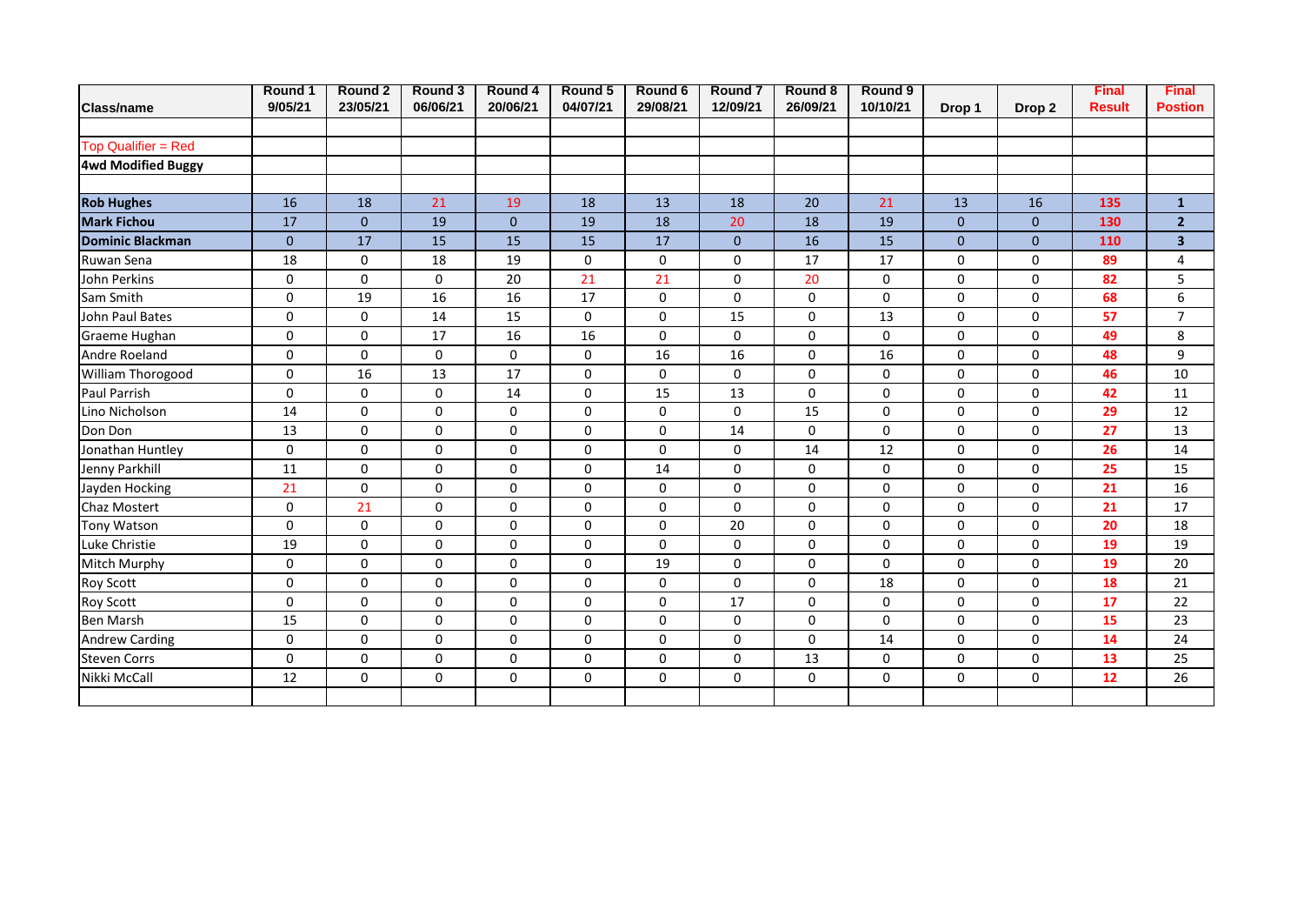| <b>Class/name</b>          | Round 1<br>9/05/21 | Round 2<br>23/05/21 | Round 3<br>06/06/21 | Round 4<br>20/06/21 | Round 5<br>04/07/21 | Round 6<br>29/08/21 | <b>Round 7</b><br>12/09/21 | Round 8<br>26/09/21 | Round 9<br>10/10/21 | Drop 1         | Drop 2         | <b>Final</b><br><b>Result</b> | <b>Final</b><br><b>Postion</b> |
|----------------------------|--------------------|---------------------|---------------------|---------------------|---------------------|---------------------|----------------------------|---------------------|---------------------|----------------|----------------|-------------------------------|--------------------------------|
|                            |                    |                     |                     |                     |                     |                     |                            |                     |                     |                |                |                               |                                |
| <b>Top Qualifier = Red</b> |                    |                     |                     |                     |                     |                     |                            |                     |                     |                |                |                               |                                |
| <b>4wd Modified Buggy</b>  |                    |                     |                     |                     |                     |                     |                            |                     |                     |                |                |                               |                                |
|                            |                    |                     |                     |                     |                     |                     |                            |                     |                     |                |                |                               |                                |
| <b>Rob Hughes</b>          | 16                 | 18                  | 21                  | 19                  | 18                  | 13                  | 18                         | 20                  | 21                  | 13             | 16             | 135                           | $\mathbf{1}$                   |
| <b>Mark Fichou</b>         | 17                 | $\overline{0}$      | 19                  | $\mathbf{0}$        | 19                  | 18                  | 20                         | 18                  | 19                  | $\overline{0}$ | $\overline{0}$ | 130                           | $\overline{2}$                 |
| <b>Dominic Blackman</b>    | $\mathbf{0}$       | 17                  | 15                  | 15                  | 15                  | 17                  | $\mathbf{0}$               | 16                  | 15                  | $\overline{0}$ | $\overline{0}$ | 110                           | $\overline{\mathbf{3}}$        |
| Ruwan Sena                 | 18                 | 0                   | 18                  | 19                  | $\mathbf 0$         | $\mathsf 0$         | $\mathbf 0$                | 17                  | 17                  | $\Omega$       | $\Omega$       | 89                            | 4                              |
| John Perkins               | $\mathbf 0$        | $\mathbf 0$         | 0                   | 20                  | 21                  | 21                  | 0                          | 20                  | 0                   | $\Omega$       | 0              | 82                            | 5                              |
| Sam Smith                  | $\Omega$           | 19                  | 16                  | 16                  | 17                  | $\mathbf 0$         | $\Omega$                   | $\mathbf 0$         | 0                   | $\Omega$       | $\Omega$       | 68                            | 6                              |
| John Paul Bates            | 0                  | $\mathbf 0$         | 14                  | 15                  | $\mathbf 0$         | 0                   | 15                         | $\mathbf 0$         | 13                  | 0              | 0              | 57                            | $\overline{7}$                 |
| Graeme Hughan              | $\mathbf 0$        | $\mathbf 0$         | 17                  | 16                  | 16                  | 0                   | $\mathbf 0$                | 0                   | 0                   | 0              | 0              | 49                            | 8                              |
| Andre Roeland              | 0                  | $\Omega$            | $\mathbf 0$         | $\mathbf 0$         | $\mathbf 0$         | 16                  | 16                         | $\mathsf{o}$        | 16                  | $\Omega$       | 0              | 48                            | 9                              |
| William Thorogood          | 0                  | 16                  | 13                  | 17                  | $\mathbf 0$         | $\mathbf 0$         | $\mathbf 0$                | $\mathbf 0$         | 0                   | $\Omega$       | 0              | 46                            | 10                             |
| Paul Parrish               | $\mathbf{0}$       | $\Omega$            | $\Omega$            | 14                  | $\mathbf 0$         | 15                  | 13                         | $\mathbf 0$         | 0                   | 0              | $\Omega$       | 42                            | 11                             |
| Lino Nicholson             | 14                 | $\mathbf 0$         | $\mathbf 0$         | $\mathbf 0$         | $\mathbf 0$         | 0                   | $\mathbf 0$                | 15                  | 0                   | $\Omega$       | 0              | 29                            | 12                             |
| Don Don                    | 13                 | $\Omega$            | 0                   | $\mathbf 0$         | $\mathbf 0$         | $\mathsf 0$         | 14                         | 0                   | 0                   | $\Omega$       | $\Omega$       | 27                            | 13                             |
| Jonathan Huntley           | 0                  | $\mathbf 0$         | $\mathbf 0$         | $\pmb{0}$           | $\mathbf 0$         | $\mathsf 0$         | 0                          | 14                  | 12                  | 0              | 0              | 26                            | 14                             |
| Jenny Parkhill             | 11                 | $\mathbf 0$         | $\mathbf 0$         | $\mathbf 0$         | $\mathbf 0$         | 14                  | $\mathbf 0$                | 0                   | 0                   | $\Omega$       | 0              | 25                            | 15                             |
| Jayden Hocking             | 21                 | $\Omega$            | 0                   | $\mathbf 0$         | $\mathbf 0$         | $\mathbf 0$         | 0                          | $\mathbf 0$         | 0                   | $\Omega$       | 0              | 21                            | 16                             |
| Chaz Mostert               | 0                  | 21                  | 0                   | 0                   | $\mathbf 0$         | $\mathsf 0$         | 0                          | $\mathbf 0$         | 0                   | $\Omega$       | 0              | 21                            | 17                             |
| Tony Watson                | $\mathbf 0$        | $\mathbf 0$         | $\mathbf 0$         | $\mathbf 0$         | $\mathbf 0$         | $\pmb{0}$           | 20                         | $\mathsf{O}\xspace$ | 0                   | 0              | 0              | 20                            | 18                             |
| Luke Christie              | 19                 | $\Omega$            | $\Omega$            | $\mathbf 0$         | $\mathbf 0$         | 0                   | $\mathbf 0$                | 0                   | 0                   | 0              | 0              | 19                            | 19                             |
| Mitch Murphy               | 0                  | $\Omega$            | $\Omega$            | $\mathbf 0$         | $\mathbf 0$         | 19                  | 0                          | $\mathbf 0$         | 0                   | $\Omega$       | 0              | 19                            | 20                             |
| <b>Roy Scott</b>           | $\mathbf 0$        | $\mathbf 0$         | $\Omega$            | 0                   | $\Omega$            | 0                   | $\mathbf 0$                | 0                   | 18                  | $\Omega$       | 0              | 18                            | 21                             |
| Roy Scott                  | 0                  | 0                   | 0                   | $\mathbf 0$         | 0                   | 0                   | 17                         | 0                   | 0                   | 0              | 0              | 17                            | 22                             |
| <b>Ben Marsh</b>           | 15                 | $\mathbf 0$         | $\mathbf 0$         | $\pmb{0}$           | $\mathsf 0$         | $\mathsf 0$         | 0                          | 0                   | 0                   | 0              | 0              | 15                            | 23                             |
| <b>Andrew Carding</b>      | 0                  | $\Omega$            | $\Omega$            | 0                   | $\mathbf 0$         | $\mathbf 0$         | $\mathbf 0$                | $\mathbf 0$         | 14                  | $\Omega$       | $\Omega$       | 14                            | 24                             |
| <b>Steven Corrs</b>        | 0                  | $\mathbf 0$         | $\mathbf 0$         | $\mathbf 0$         | $\mathbf 0$         | $\mathsf 0$         | 0                          | 13                  | 0                   | 0              | 0              | 13                            | 25                             |
| Nikki McCall               | 12                 | $\mathbf 0$         | 0                   | 0                   | $\mathbf 0$         | $\mathbf 0$         | 0                          | $\mathbf 0$         | 0                   | 0              | 0              | 12                            | 26                             |
|                            |                    |                     |                     |                     |                     |                     |                            |                     |                     |                |                |                               |                                |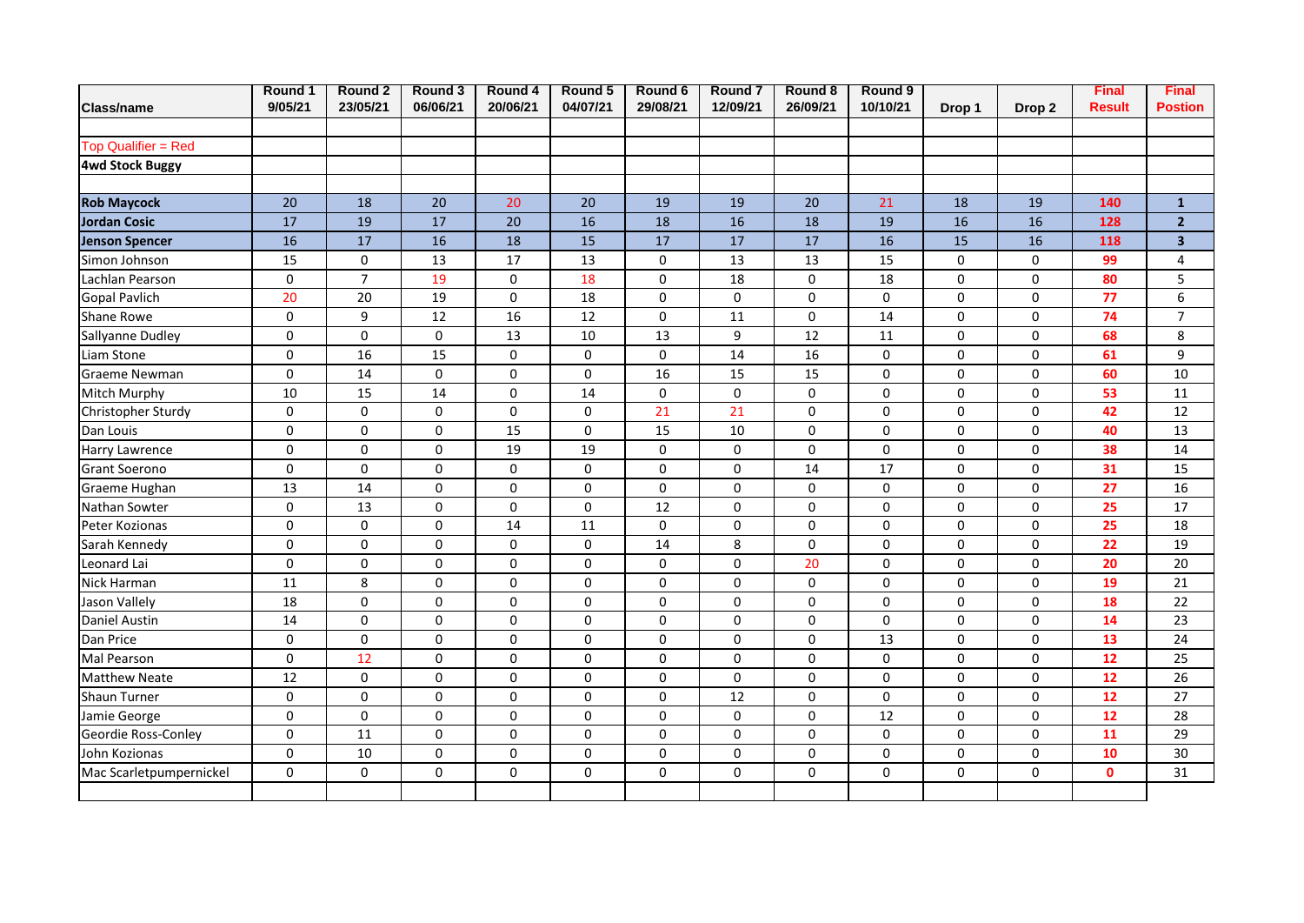| Class/name              | Round 1<br>9/05/21 | Round 2<br>23/05/21 | Round 3<br>06/06/21 | Round 4<br>20/06/21 | Round 5<br>04/07/21 | Round 6<br>29/08/21 | Round <sub>7</sub><br>12/09/21 | Round 8<br>26/09/21 | Round 9<br>10/10/21 | Drop 1      | Drop <sub>2</sub> | <b>Final</b><br><b>Result</b> | <b>Final</b><br><b>Postion</b> |
|-------------------------|--------------------|---------------------|---------------------|---------------------|---------------------|---------------------|--------------------------------|---------------------|---------------------|-------------|-------------------|-------------------------------|--------------------------------|
|                         |                    |                     |                     |                     |                     |                     |                                |                     |                     |             |                   |                               |                                |
| Top Qualifier = Red     |                    |                     |                     |                     |                     |                     |                                |                     |                     |             |                   |                               |                                |
| <b>4wd Stock Buggy</b>  |                    |                     |                     |                     |                     |                     |                                |                     |                     |             |                   |                               |                                |
|                         |                    |                     |                     |                     |                     |                     |                                |                     |                     |             |                   |                               |                                |
| <b>Rob Maycock</b>      | 20                 | 18                  | 20                  | 20                  | 20                  | 19                  | 19                             | 20                  | 21                  | 18          | 19                | 140                           | $\mathbf 1$                    |
| <b>Jordan Cosic</b>     | $\overline{17}$    | 19                  | $\overline{17}$     | 20                  | 16                  | 18                  | 16                             | 18                  | 19                  | 16          | 16                | 128                           | $\overline{2}$                 |
| <b>Jenson Spencer</b>   | 16                 | 17                  | 16                  | 18                  | 15                  | 17                  | 17                             | 17                  | 16                  | 15          | 16                | 118                           | $\overline{\mathbf{3}}$        |
| Simon Johnson           | 15                 | $\mathbf 0$         | 13                  | 17                  | 13                  | 0                   | 13                             | 13                  | 15                  | 0           | $\mathbf 0$       | 99                            | 4                              |
| Lachlan Pearson         | 0                  | $\overline{7}$      | 19                  | $\pmb{0}$           | 18                  | 0                   | 18                             | 0                   | 18                  | 0           | $\mathbf 0$       | 80                            | 5                              |
| <b>Gopal Pavlich</b>    | 20                 | 20                  | 19                  | $\pmb{0}$           | 18                  | 0                   | 0                              | 0                   | 0                   | 0           | $\mathbf 0$       | 77                            | 6                              |
| Shane Rowe              | $\mathsf 0$        | 9                   | 12                  | 16                  | 12                  | 0                   | 11                             | 0                   | 14                  | 0           | 0                 | 74                            | $\overline{7}$                 |
| Sallyanne Dudley        | $\pmb{0}$          | $\mathbf 0$         | $\pmb{0}$           | 13                  | 10                  | 13                  | 9                              | 12                  | 11                  | 0           | 0                 | 68                            | 8                              |
| Liam Stone              | $\mathsf 0$        | 16                  | 15                  | $\pmb{0}$           | $\mathsf{O}\xspace$ | $\pmb{0}$           | 14                             | 16                  | $\mathsf 0$         | 0           | 0                 | 61                            | 9                              |
| Graeme Newman           | $\mathsf 0$        | 14                  | $\pmb{0}$           | $\pmb{0}$           | $\mathsf{O}\xspace$ | 16                  | 15                             | 15                  | $\mathsf 0$         | $\mathbf 0$ | 0                 | 60                            | 10                             |
| Mitch Murphy            | 10                 | 15                  | 14                  | $\pmb{0}$           | 14                  | $\pmb{0}$           | $\mathsf 0$                    | 0                   | 0                   | 0           | 0                 | 53                            | 11                             |
| Christopher Sturdy      | 0                  | $\mathbf 0$         | $\pmb{0}$           | $\pmb{0}$           | $\mathsf{O}\xspace$ | 21                  | 21                             | $\pmb{0}$           | $\mathsf 0$         | 0           | 0                 | 42                            | 12                             |
| Dan Louis               | $\mathsf 0$        | $\mathbf 0$         | $\pmb{0}$           | 15                  | $\mathsf{O}\xspace$ | 15                  | 10                             | 0                   | $\mathsf 0$         | 0           | 0                 | 40                            | 13                             |
| Harry Lawrence          | $\pmb{0}$          | $\mathbf 0$         | $\mathsf 0$         | 19                  | 19                  | 0                   | $\pmb{0}$                      | 0                   | $\pmb{0}$           | $\mathbf 0$ | $\mathbf 0$       | 38                            | 14                             |
| <b>Grant Soerono</b>    | $\pmb{0}$          | 0                   | $\mathsf 0$         | $\pmb{0}$           | $\mathsf 0$         | $\pmb{0}$           | $\pmb{0}$                      | 14                  | 17                  | $\mathbf 0$ | $\mathbf 0$       | 31                            | 15                             |
| Graeme Hughan           | 13                 | 14                  | $\mathsf 0$         | $\pmb{0}$           | $\pmb{0}$           | $\pmb{0}$           | $\pmb{0}$                      | 0                   | $\pmb{0}$           | $\mathbf 0$ | $\mathbf 0$       | $\overline{27}$               | 16                             |
| Nathan Sowter           | $\mathsf 0$        | 13                  | $\mathsf 0$         | $\pmb{0}$           | $\mathsf{O}\xspace$ | 12                  | 0                              | $\pmb{0}$           | $\mathsf 0$         | 0           | 0                 | 25                            | 17                             |
| Peter Kozionas          | $\mathbf 0$        | 0                   | $\mathsf 0$         | 14                  | 11                  | 0                   | 0                              | 0                   | $\mathsf 0$         | 0           | 0                 | 25                            | 18                             |
| Sarah Kennedy           | 0                  | 0                   | 0                   | 0                   | 0                   | 14                  | 8                              | 0                   | $\mathsf 0$         | 0           | 0                 | 22                            | 19                             |
| Leonard Lai             | $\mathsf 0$        | 0                   | $\mathsf 0$         | $\pmb{0}$           | $\mathsf 0$         | $\pmb{0}$           | $\pmb{0}$                      | 20                  | $\pmb{0}$           | 0           | 0                 | 20                            | 20                             |
| Nick Harman             | 11                 | 8                   | $\mathsf 0$         | $\pmb{0}$           | $\pmb{0}$           | $\pmb{0}$           | $\pmb{0}$                      | 0                   | $\mathsf 0$         | 0           | 0                 | 19                            | 21                             |
| Jason Vallely           | 18                 | 0                   | $\mathsf 0$         | $\pmb{0}$           | $\pmb{0}$           | $\pmb{0}$           | $\pmb{0}$                      | 0                   | $\mathsf 0$         | $\Omega$    | 0                 | 18                            | 22                             |
| <b>Daniel Austin</b>    | 14                 | $\mathbf 0$         | $\mathbf 0$         | 0                   | $\mathbf 0$         | 0                   | $\mathbf 0$                    | 0                   | $\mathbf 0$         | 0           | 0                 | 14                            | 23                             |
| Dan Price               | $\mathbf 0$        | $\mathbf 0$         | $\mathbf 0$         | 0                   | $\mathbf 0$         | 0                   | $\mathbf 0$                    | 0                   | 13                  | 0           | 0                 | 13                            | 24                             |
| <b>Mal Pearson</b>      | 0                  | 12                  | $\mathbf 0$         | 0                   | 0                   | 0                   | $\mathbf 0$                    | 0                   | 0                   | 0           | 0                 | 12                            | 25                             |
| <b>Matthew Neate</b>    | 12                 | $\mathsf{o}$        | $\Omega$            | $\mathbf 0$         | $\pmb{0}$           | $\pmb{0}$           | $\Omega$                       | 0                   | $\Omega$            | $\Omega$    | $\Omega$          | $\overline{12}$               | $\overline{26}$                |
| Shaun Turner            | $\mathbf 0$        | $\mathbf 0$         | $\Omega$            | 0                   | $\mathbf 0$         | $\mathbf 0$         | 12                             | 0                   | 0                   | $\Omega$    | $\Omega$          | 12                            | 27                             |
| Jamie George            | $\mathbf 0$        | $\mathbf 0$         | $\Omega$            | 0                   | $\mathbf 0$         | $\mathbf 0$         | $\mathbf 0$                    | 0                   | 12                  | $\Omega$    | $\Omega$          | 12                            | 28                             |
| Geordie Ross-Conley     | 0                  | 11                  | $\mathbf 0$         | 0                   | 0                   | $\mathbf 0$         | $\mathbf 0$                    | 0                   | 0                   | $\Omega$    | $\Omega$          | 11                            | 29                             |
| John Kozionas           | 0                  | 10                  | $\mathbf 0$         | 0                   | 0                   | 0                   | $\mathbf 0$                    | 0                   | 0                   | $\Omega$    | 0                 | 10                            | 30                             |
| Mac Scarletpumpernickel | $\mathbf 0$        | $\mathbf 0$         | $\mathbf 0$         | 0                   | $\mathbf 0$         | 0                   | 0                              | 0                   | 0                   | $\Omega$    | 0                 | $\mathbf 0$                   | 31                             |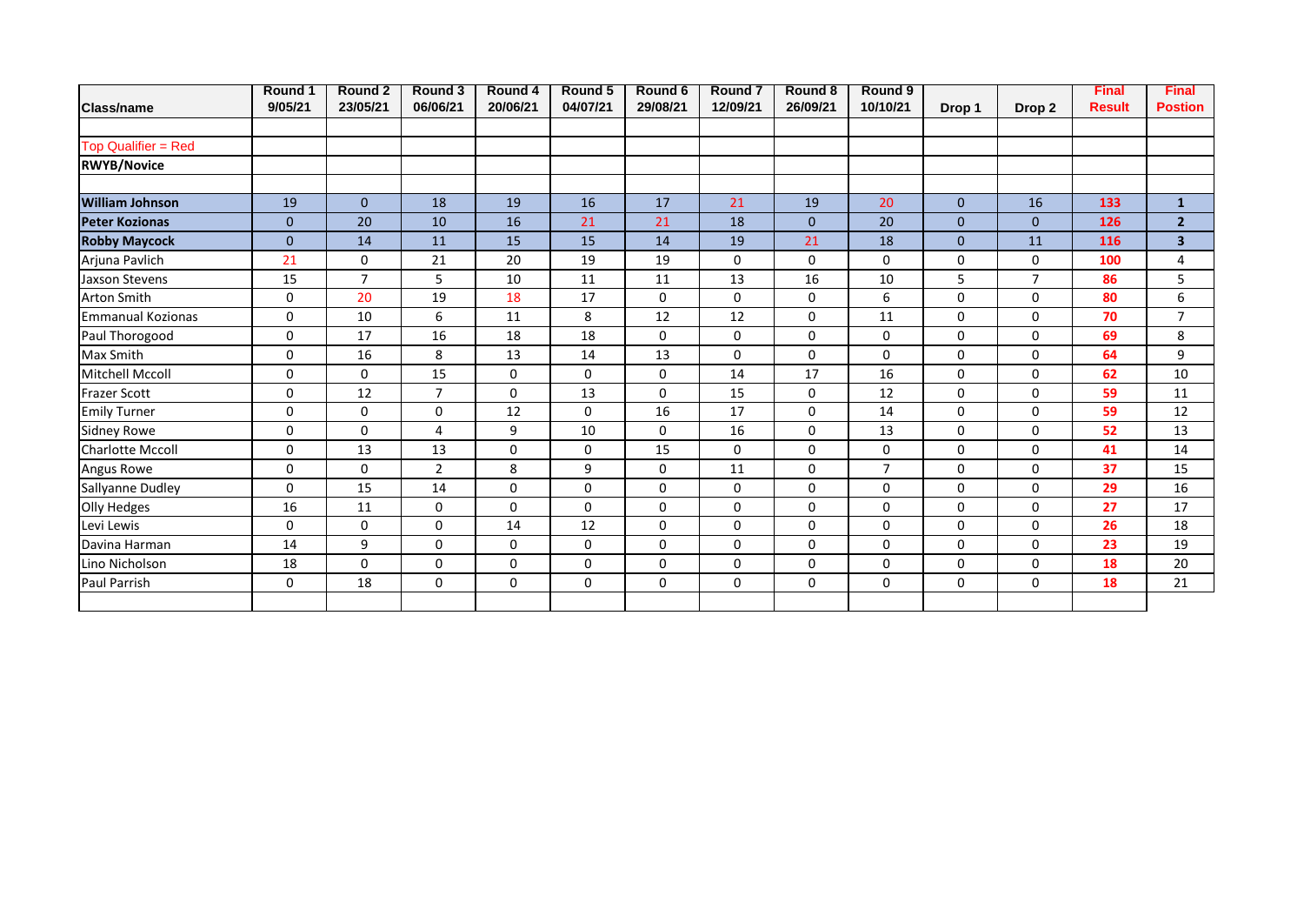|                          | Round 1      | Round 2        | Round 3        | Round 4     | Round 5     | Round 6     | Round <sub>7</sub> | Round 8      | Round 9        |              |                   | <b>Final</b>  | <b>Final</b>            |
|--------------------------|--------------|----------------|----------------|-------------|-------------|-------------|--------------------|--------------|----------------|--------------|-------------------|---------------|-------------------------|
| <b>Class/name</b>        | 9/05/21      | 23/05/21       | 06/06/21       | 20/06/21    | 04/07/21    | 29/08/21    | 12/09/21           | 26/09/21     | 10/10/21       | Drop 1       | Drop <sub>2</sub> | <b>Result</b> | <b>Postion</b>          |
| Top Qualifier = Red      |              |                |                |             |             |             |                    |              |                |              |                   |               |                         |
| <b>RWYB/Novice</b>       |              |                |                |             |             |             |                    |              |                |              |                   |               |                         |
| <b>William Johnson</b>   | 19           | $\mathbf{0}$   | 18             | 19          | 16          | 17          | 21                 | 19           | 20             | $\mathbf{0}$ | 16                | 133           | $\mathbf{1}$            |
| <b>Peter Kozionas</b>    | $\mathbf{0}$ | 20             | 10             | 16          | 21          | 21          | 18                 | $\mathbf{0}$ | 20             | $\Omega$     | $\Omega$          | 126           | 2 <sup>1</sup>          |
| <b>Robby Maycock</b>     | $\mathbf{0}$ | 14             | 11             | 15          | 15          | 14          | 19                 | 21           | 18             | $\mathbf{0}$ | 11                | 116           | $\overline{\mathbf{3}}$ |
| Arjuna Pavlich           | 21           | $\Omega$       | 21             | 20          | 19          | 19          | 0                  | $\mathbf 0$  | 0              | 0            | $\Omega$          | 100           | 4                       |
| Jaxson Stevens           | 15           | $\overline{7}$ | 5              | 10          | 11          | 11          | 13                 | 16           | 10             | 5            | $\overline{7}$    | 86            | 5                       |
| <b>Arton Smith</b>       | 0            | 20             | 19             | 18          | 17          | $\mathbf 0$ | 0                  | 0            | 6              | 0            | 0                 | 80            | 6                       |
| <b>Emmanual Kozionas</b> | 0            | 10             | 6              | 11          | 8           | 12          | 12                 | 0            | 11             | 0            | $\Omega$          | 70            | $\overline{7}$          |
| Paul Thorogood           | 0            | 17             | 16             | 18          | 18          | $\mathbf 0$ | 0                  | $\mathbf 0$  | 0              | 0            | $\Omega$          | 69            | 8                       |
| Max Smith                | 0            | 16             | 8              | 13          | 14          | 13          | 0                  | 0            | 0              | 0            | $\Omega$          | 64            | 9                       |
| <b>Mitchell Mccoll</b>   | 0            | $\Omega$       | 15             | 0           | $\mathbf 0$ | 0           | 14                 | 17           | 16             | 0            | $\Omega$          | 62            | 10                      |
| <b>Frazer Scott</b>      | 0            | 12             | $\overline{7}$ | $\mathbf 0$ | 13          | $\mathbf 0$ | 15                 | 0            | 12             | 0            | $\mathbf 0$       | 59            | 11                      |
| <b>Emily Turner</b>      | 0            | $\Omega$       | $\Omega$       | 12          | $\Omega$    | 16          | 17                 | 0            | 14             | 0            | $\Omega$          | 59            | 12                      |
| <b>Sidney Rowe</b>       | $\Omega$     | $\Omega$       | 4              | 9           | 10          | $\mathbf 0$ | 16                 | 0            | 13             | $\Omega$     | $\Omega$          | 52            | 13                      |
| Charlotte Mccoll         | 0            | 13             | 13             | 0           | $\mathbf 0$ | 15          | 0                  | 0            | 0              | 0            | 0                 | 41            | 14                      |
| Angus Rowe               | 0            | $\Omega$       | 2              | 8           | 9           | $\mathbf 0$ | 11                 | 0            | $\overline{7}$ | 0            | 0                 | 37            | 15                      |
| Sallyanne Dudley         | $\Omega$     | 15             | 14             | $\Omega$    | $\Omega$    | 0           | 0                  | 0            | 0              | $\Omega$     | $\Omega$          | 29            | 16                      |
| Olly Hedges              | 16           | 11             | 0              | $\mathbf 0$ | $\Omega$    | 0           | 0                  | 0            | 0              | 0            | 0                 | 27            | 17                      |
| Levi Lewis               | $\Omega$     | $\Omega$       | $\Omega$       | 14          | 12          | $\mathbf 0$ | 0                  | $\mathbf 0$  | 0              | 0            | $\Omega$          | 26            | 18                      |
| Davina Harman            | 14           | 9              | $\Omega$       | 0           | $\Omega$    | $\mathbf 0$ | $\Omega$           | $\mathbf 0$  | 0              | 0            | $\Omega$          | 23            | 19                      |
| Lino Nicholson           | 18           | $\mathbf{0}$   | 0              | $\mathbf 0$ | 0           | 0           | 0                  | 0            | 0              | 0            | 0                 | 18            | 20                      |
| <b>Paul Parrish</b>      | 0            | 18             | $\Omega$       | $\mathbf 0$ | $\Omega$    | $\mathbf 0$ | $\Omega$           | $\mathbf 0$  | 0              | 0            | $\Omega$          | 18            | 21                      |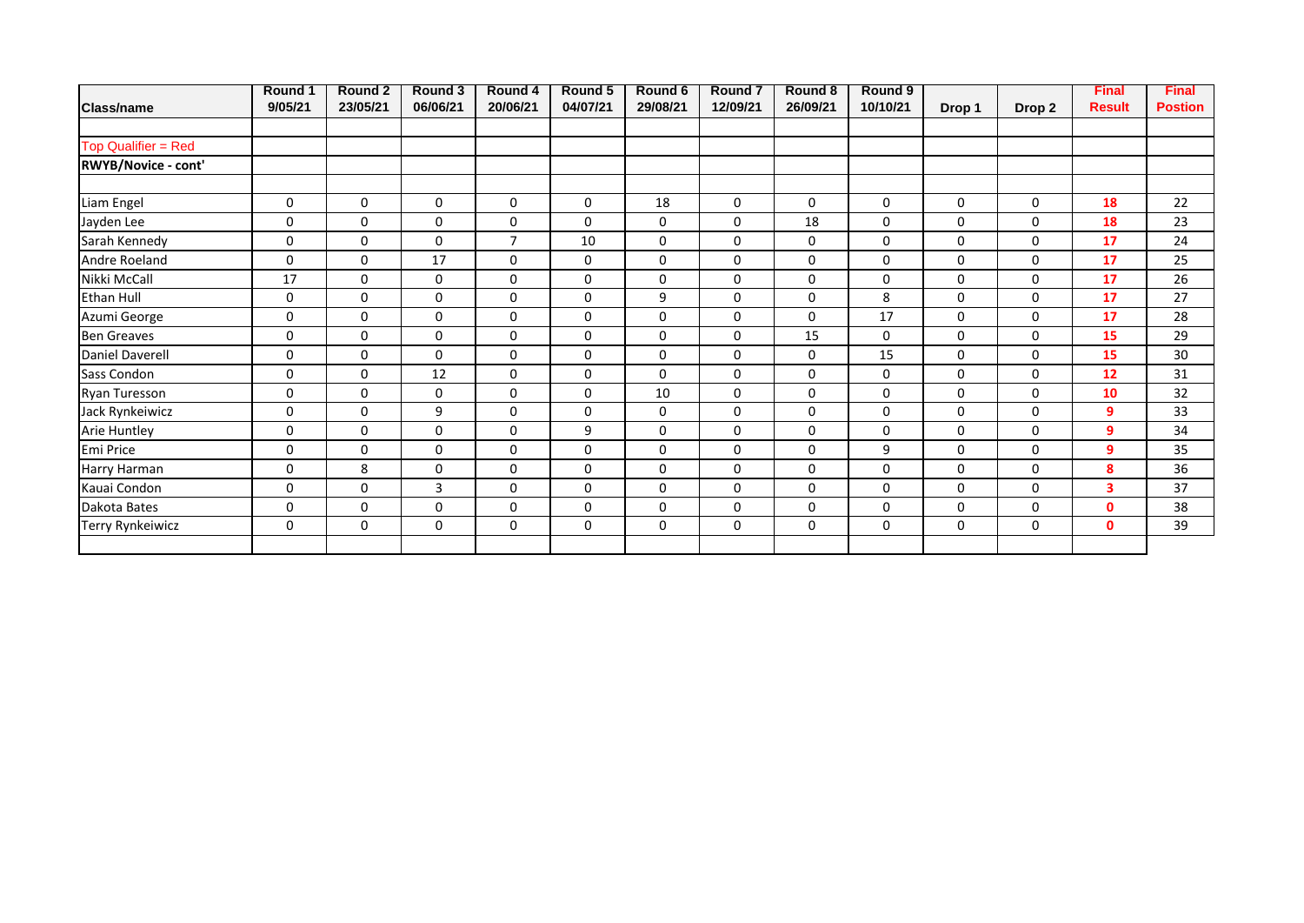|                            | Round 1     | Round 2     | Round 3      | Round 4        | Round 5     | Round 6             | Round <sub>7</sub> | Round 8  | Round 9  |             |                   | <b>Final</b>  | <b>Final</b>   |
|----------------------------|-------------|-------------|--------------|----------------|-------------|---------------------|--------------------|----------|----------|-------------|-------------------|---------------|----------------|
| <b>Class/name</b>          | 9/05/21     | 23/05/21    | 06/06/21     | 20/06/21       | 04/07/21    | 29/08/21            | 12/09/21           | 26/09/21 | 10/10/21 | Drop 1      | Drop <sub>2</sub> | <b>Result</b> | <b>Postion</b> |
|                            |             |             |              |                |             |                     |                    |          |          |             |                   |               |                |
| <b>Top Qualifier = Red</b> |             |             |              |                |             |                     |                    |          |          |             |                   |               |                |
| <b>RWYB/Novice - cont'</b> |             |             |              |                |             |                     |                    |          |          |             |                   |               |                |
| Liam Engel                 | $\mathbf 0$ | $\mathbf 0$ | $\mathbf 0$  | 0              | 0           | 18                  | 0                  | 0        | 0        | 0           | $\mathbf 0$       | 18            | 22             |
| Jayden Lee                 | 0           | $\mathbf 0$ | 0            | 0              | $\mathbf 0$ | 0                   | 0                  | 18       | 0        | 0           | 0                 | 18            | 23             |
| Sarah Kennedy              | 0           | $\mathbf 0$ | 0            | $\overline{7}$ | 10          | 0                   | 0                  | 0        | 0        | 0           | 0                 | 17            | 24             |
| Andre Roeland              | 0           | $\mathbf 0$ | 17           | 0              | 0           | 0                   | 0                  | 0        | 0        | 0           | 0                 | 17            | 25             |
| Nikki McCall               | 17          | 0           | 0            | $\mathbf 0$    | $\mathbf 0$ | 0                   | 0                  | 0        | 0        | 0           | $\mathbf 0$       | 17            | 26             |
| <b>Ethan Hull</b>          | 0           | $\mathbf 0$ | $\mathbf 0$  | $\mathbf 0$    | $\mathbf 0$ | 9                   | 0                  | 0        | 8        | 0           | $\mathbf 0$       | 17            | 27             |
| Azumi George               | 0           | $\Omega$    | 0            | $\mathbf 0$    | $\mathbf 0$ | 0                   | 0                  | 0        | 17       | 0           | 0                 | 17            | 28             |
| <b>Ben Greaves</b>         | $\mathbf 0$ | $\mathbf 0$ | 0            | 0              | $\mathbf 0$ | 0                   | 0                  | 15       | 0        | 0           | 0                 | 15            | 29             |
| <b>Daniel Daverell</b>     | 0           | $\mathbf 0$ | $\Omega$     | $\mathbf 0$    | $\mathbf 0$ | 0                   | 0                  | 0        | 15       | 0           | $\mathbf 0$       | 15            | 30             |
| Sass Condon                | 0           | $\Omega$    | 12           | 0              | $\mathbf 0$ | 0                   | 0                  | 0        | 0        | 0           | $\mathbf 0$       | 12            | 31             |
| Ryan Turesson              | 0           | 0           | $\mathbf 0$  | $\mathbf 0$    | $\mathbf 0$ | 10                  | 0                  | 0        | 0        | 0           | $\mathbf 0$       | 10            | 32             |
| Jack Rynkeiwicz            | $\mathsf 0$ | $\mathbf 0$ | 9            | $\mathbf 0$    | $\mathbf 0$ | 0                   | 0                  | 0        | 0        | $\mathbf 0$ | $\mathbf 0$       | 9             | 33             |
| Arie Huntley               | 0           | $\Omega$    | 0            | $\mathbf 0$    | 9           | 0                   | 0                  | 0        | 0        | 0           | $\Omega$          | 9             | 34             |
| Emi Price                  | $\mathsf 0$ | $\mathbf 0$ | $\mathbf 0$  | $\pmb{0}$      | $\mathbf 0$ | $\mathsf{O}\xspace$ | 0                  | 0        | 9        | 0           | $\mathbf 0$       | 9             | 35             |
| Harry Harman               | 0           | 8           | $\mathbf 0$  | $\pmb{0}$      | 0           | 0                   | 0                  | 0        | 0        | 0           | 0                 | 8             | 36             |
| Kauai Condon               | 0           | $\mathbf 0$ | $\mathbf{3}$ | 0              | $\mathbf 0$ | $\mathsf{O}\xspace$ | 0                  | 0        | 0        | 0           | $\mathbf 0$       | 3             | 37             |
| Dakota Bates               | 0           | 0           | $\mathbf 0$  | $\mathbf 0$    | $\mathbf 0$ | 0                   | 0                  | 0        | 0        | 0           | 0                 | $\mathbf{0}$  | 38             |
| Terry Rynkeiwicz           | 0           | 0           | $\mathbf 0$  | 0              | $\mathbf 0$ | 0                   | 0                  | 0        | 0        | 0           | 0                 | $\mathbf{0}$  | 39             |
|                            |             |             |              |                |             |                     |                    |          |          |             |                   |               |                |